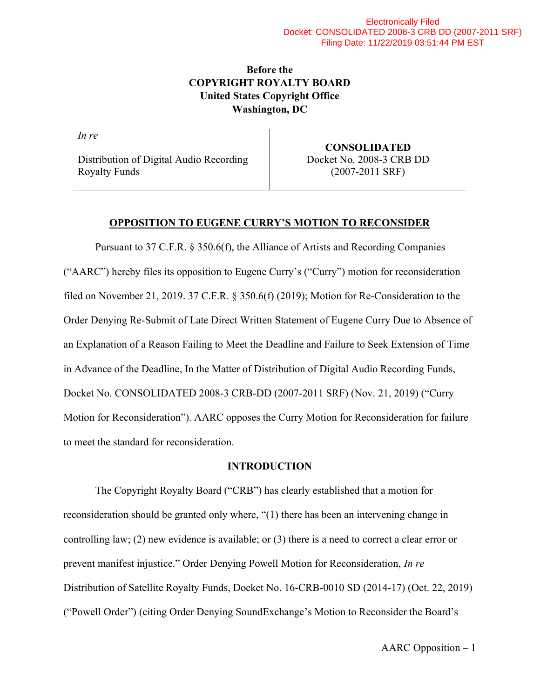# Before the COPYRIGHT ROYALTY BOARD United States Copyright Office Washington, DC

In re

Distribution of Digital Audio Recording Royalty Funds

CONSOLIDATED Docket No. 2008-3 CRB DD (2007-2011 SRF)

## OPPOSITION TO EUGENE CURRY'S MOTION TO RECONSIDER

Pursuant to 37 C.F.R. § 350.6(f), the Alliance of Artists and Recording Companies ("AARC") hereby files its opposition to Eugene Curry's ("Curry") motion for reconsideration filed on November 21, 2019. 37 C.F.R. § 350.6(f) (2019); Motion for Re-Consideration to the Order Denying Re-Submit of Late Direct Written Statement of Eugene Curry Due to Absence of an Explanation of a Reason Failing to Meet the Deadline and Failure to Seek Extension of Time in Advance of the Deadline, In the Matter of Distribution of Digital Audio Recording Funds, Docket No. CONSOLIDATED 2008-3 CRB-DD (2007-2011 SRF) (Nov. 21, 2019) ("Curry Motion for Reconsideration"). AARC opposes the Curry Motion for Reconsideration for failure to meet the standard for reconsideration.

### INTRODUCTION

 The Copyright Royalty Board ("CRB") has clearly established that a motion for reconsideration should be granted only where, "(1) there has been an intervening change in controlling law; (2) new evidence is available; or (3) there is a need to correct a clear error or prevent manifest injustice." Order Denying Powell Motion for Reconsideration, In re Distribution of Satellite Royalty Funds, Docket No. 16-CRB-0010 SD (2014-17) (Oct. 22, 2019) ("Powell Order") (citing Order Denying SoundExchange's Motion to Reconsider the Board's

AARC Opposition – 1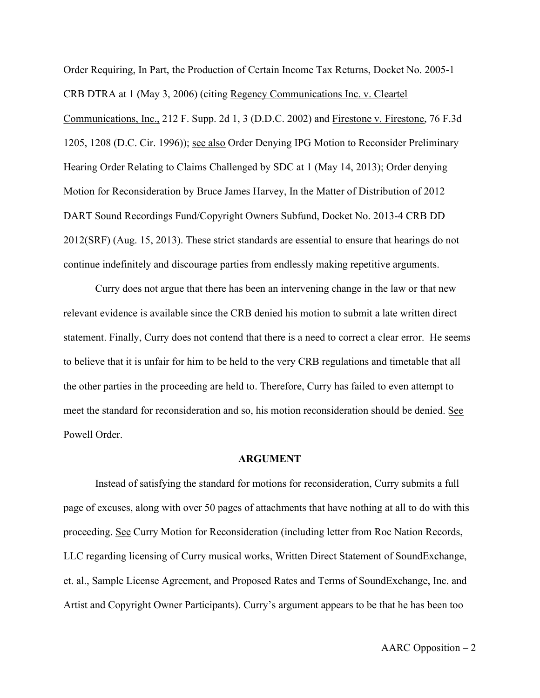Order Requiring, In Part, the Production of Certain Income Tax Returns, Docket No. 2005-1 CRB DTRA at 1 (May 3, 2006) (citing Regency Communications Inc. v. Cleartel Communications, Inc., 212 F. Supp. 2d 1, 3 (D.D.C. 2002) and Firestone v. Firestone, 76 F.3d 1205, 1208 (D.C. Cir. 1996)); see also Order Denying IPG Motion to Reconsider Preliminary Hearing Order Relating to Claims Challenged by SDC at 1 (May 14, 2013); Order denying Motion for Reconsideration by Bruce James Harvey, In the Matter of Distribution of 2012 DART Sound Recordings Fund/Copyright Owners Subfund, Docket No. 2013-4 CRB DD 2012(SRF) (Aug. 15, 2013). These strict standards are essential to ensure that hearings do not continue indefinitely and discourage parties from endlessly making repetitive arguments.

 Curry does not argue that there has been an intervening change in the law or that new relevant evidence is available since the CRB denied his motion to submit a late written direct statement. Finally, Curry does not contend that there is a need to correct a clear error. He seems to believe that it is unfair for him to be held to the very CRB regulations and timetable that all the other parties in the proceeding are held to. Therefore, Curry has failed to even attempt to meet the standard for reconsideration and so, his motion reconsideration should be denied. See Powell Order.

#### ARGUMENT

 Instead of satisfying the standard for motions for reconsideration, Curry submits a full page of excuses, along with over 50 pages of attachments that have nothing at all to do with this proceeding. See Curry Motion for Reconsideration (including letter from Roc Nation Records, LLC regarding licensing of Curry musical works, Written Direct Statement of SoundExchange, et. al., Sample License Agreement, and Proposed Rates and Terms of SoundExchange, Inc. and Artist and Copyright Owner Participants). Curry's argument appears to be that he has been too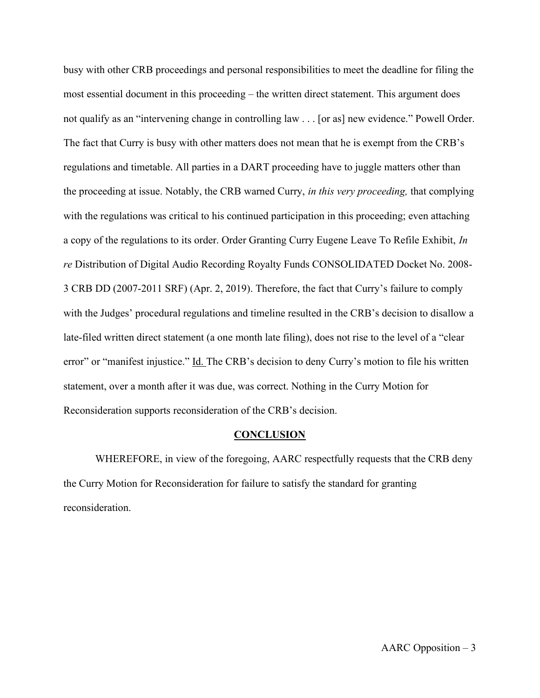busy with other CRB proceedings and personal responsibilities to meet the deadline for filing the most essential document in this proceeding – the written direct statement. This argument does not qualify as an "intervening change in controlling law . . . [or as] new evidence." Powell Order. The fact that Curry is busy with other matters does not mean that he is exempt from the CRB's regulations and timetable. All parties in a DART proceeding have to juggle matters other than the proceeding at issue. Notably, the CRB warned Curry, in this very proceeding, that complying with the regulations was critical to his continued participation in this proceeding; even attaching a copy of the regulations to its order. Order Granting Curry Eugene Leave To Refile Exhibit, In re Distribution of Digital Audio Recording Royalty Funds CONSOLIDATED Docket No. 2008- 3 CRB DD (2007-2011 SRF) (Apr. 2, 2019). Therefore, the fact that Curry's failure to comply with the Judges' procedural regulations and timeline resulted in the CRB's decision to disallow a late-filed written direct statement (a one month late filing), does not rise to the level of a "clear error" or "manifest injustice." Id. The CRB's decision to deny Curry's motion to file his written statement, over a month after it was due, was correct. Nothing in the Curry Motion for Reconsideration supports reconsideration of the CRB's decision.

#### **CONCLUSION**

WHEREFORE, in view of the foregoing, AARC respectfully requests that the CRB deny the Curry Motion for Reconsideration for failure to satisfy the standard for granting reconsideration.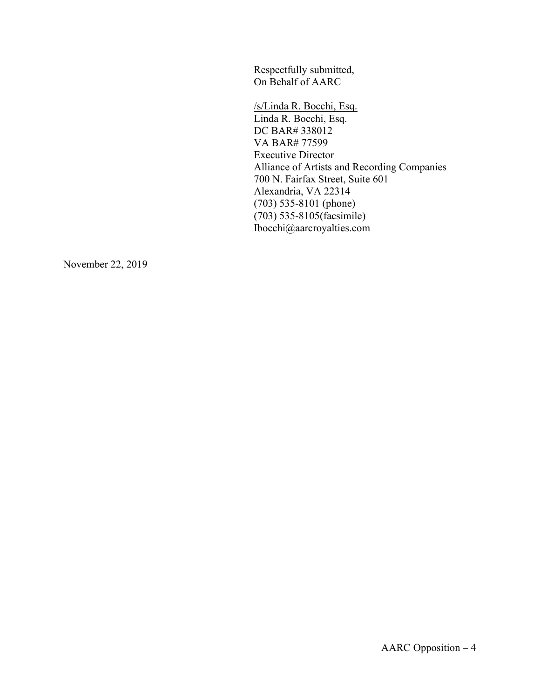Respectfully submitted, On Behalf of AARC

 /s/Linda R. Bocchi, Esq. Linda R. Bocchi, Esq. DC BAR# 338012 VA BAR# 77599 Executive Director Alliance of Artists and Recording Companies 700 N. Fairfax Street, Suite 601 Alexandria, VA 22314 (703) 535-8101 (phone) (703) 535-8105(facsimile) Ibocchi@aarcroyalties.com

November 22, 2019